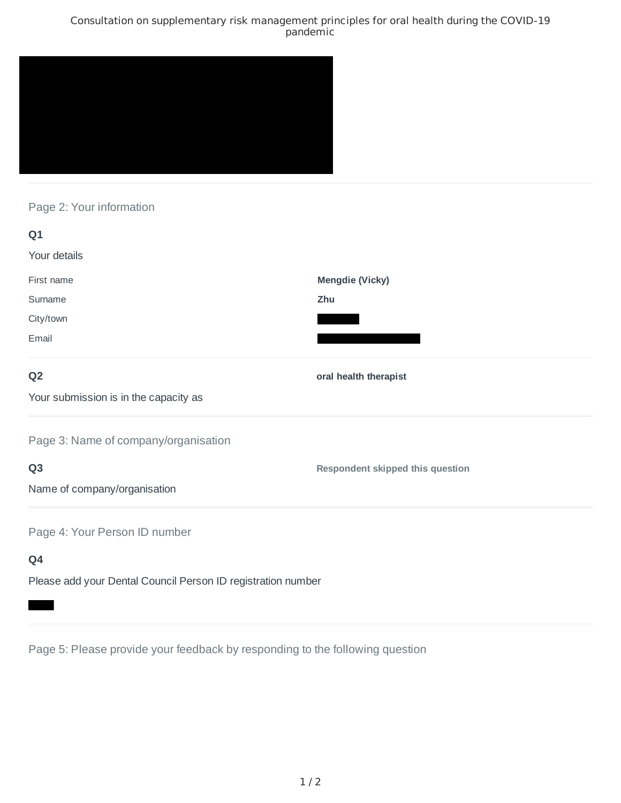### Consultation on supplementary risk management principles for oral health during the COVID-19 pandemic



# Page 2: Your information

| Q1                                                           |                                  |
|--------------------------------------------------------------|----------------------------------|
| Your details                                                 |                                  |
| First name                                                   | <b>Mengdie (Vicky)</b>           |
| Surname                                                      | Zhu                              |
| City/town                                                    |                                  |
| Email                                                        |                                  |
| Q <sub>2</sub>                                               | oral health therapist            |
| Your submission is in the capacity as                        |                                  |
| Page 3: Name of company/organisation                         |                                  |
| Q <sub>3</sub>                                               | Respondent skipped this question |
| Name of company/organisation                                 |                                  |
| Page 4: Your Person ID number                                |                                  |
| Q4                                                           |                                  |
| Please add your Dental Council Person ID registration number |                                  |

Page 5: Please provide your feedback by responding to the following question